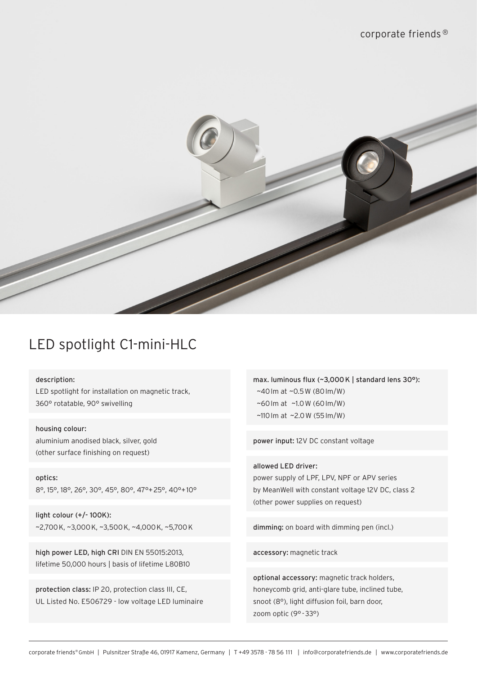

# LED spotlight C1-mini-HLC

description:

LED spotlight for installation on magnetic track, 360° rotatable, 90° swivelling

housing colour: aluminium anodised black, silver, gold (other surface finishing on request)

optics: 8°, 15°, 18°, 26°, 30°, 45°, 80°, 47°+25°, 40°+10°

light colour (+/- 100K): ~2,700K, ~3,000K, ~3,500K, ~4,000K, ~5,700K

high power LED, high CRI DIN EN 55015:2013, lifetime 50,000 hours | basis of lifetime L80B10

protection class: IP 20, protection class III, CE, UL Listed No. E506729 - low voltage LED luminaire max. luminous flux (~3,000K | standard lens 30°): ~40lm at ~0.5W (80lm/W) ~60lm at ~1.0W (60lm/W) ~110lm at ~2.0W (55lm/W)

power input: 12V DC constant voltage

allowed LED driver: power supply of LPF, LPV, NPF or APV series by MeanWell with constant voltage 12V DC, class 2 (other power supplies on request)

dimming: on board with dimming pen (incl.)

accessory: magnetic track

optional accessory: magnetic track holders, honeycomb grid, anti-glare tube, inclined tube, snoot (8°), light diffusion foil, barn door, zoom optic (9° -33°)